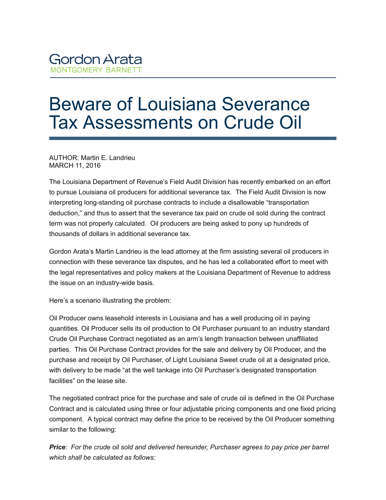## Beware of Louisiana Severance Tax Assessments on Crude Oil

AUTHOR: Martin E. Landrieu MARCH 11, 2016

The Louisiana Department of Revenue's Field Audit Division has recently embarked on an effort to pursue Louisiana oil producers for additional severance tax. The Field Audit Division is now interpreting long-standing oil purchase contracts to include a disallowable "transportation deduction," and thus to assert that the severance tax paid on crude oil sold during the contract term was not properly calculated. Oil producers are being asked to pony up hundreds of thousands of dollars in additional severance tax.

Gordon Arata's Martin Landrieu is the lead attorney at the firm assisting several oil producers in connection with these severance tax disputes, and he has led a collaborated effort to meet with the legal representatives and policy makers at the Louisiana Department of Revenue to address the issue on an industry-wide basis.

Here's a scenario illustrating the problem:

Oil Producer owns leasehold interests in Louisiana and has a well producing oil in paying quantities. Oil Producer sells its oil production to Oil Purchaser pursuant to an industry standard Crude Oil Purchase Contract negotiated as an arm's length transaction between unaffiliated parties. This Oil Purchase Contract provides for the sale and delivery by Oil Producer, and the purchase and receipt by Oil Purchaser, of Light Louisiana Sweet crude oil at a designated price, with delivery to be made "at the well tankage into Oil Purchaser's designated transportation facilities" on the lease site.

The negotiated contract price for the purchase and sale of crude oil is defined in the Oil Purchase Contract and is calculated using three or four adjustable pricing components and one fixed pricing component. A typical contract may define the price to be received by the Oil Producer something similar to the following:

*Price: For the crude oil sold and delivered hereunder, Purchaser agrees to pay price per barrel which shall be calculated as follows:*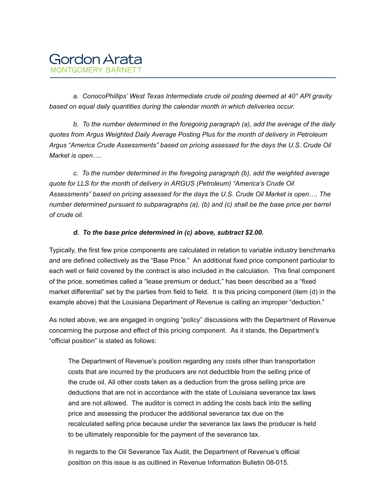

 *a. ConocoPhillips' West Texas Intermediate crude oil posting deemed at 40° API gravity based on equal daily quantities during the calendar month in which deliveries occur.*

 *b. To the number determined in the foregoing paragraph (a), add the average of the daily quotes from Argus Weighted Daily Average Posting Plus for the month of delivery in Petroleum Argus "America Crude Assessments" based on pricing assessed for the days the U.S. Crude Oil Market is open….*

 *c. To the number determined in the foregoing paragraph (b), add the weighted average quote for LLS for the month of delivery in ARGUS (Petroleum) "America's Crude Oil Assessments" based on pricing assessed for the days the U.S. Crude Oil Market is open…. The number determined pursuant to subparagraphs (a), (b) and (c) shall be the base price per barrel of crude oil.*

## *d. To the base price determined in (c) above, subtract \$2.00.*

Typically, the first few price components are calculated in relation to variable industry benchmarks and are defined collectively as the "Base Price." An additional fixed price component particular to each well or field covered by the contract is also included in the calculation. This final component of the price, sometimes called a "lease premium or deduct," has been described as a "fixed market differential" set by the parties from field to field. It is this pricing component (item (d) in the example above) that the Louisiana Department of Revenue is calling an improper "deduction."

As noted above, we are engaged in ongoing "policy" discussions with the Department of Revenue concerning the purpose and effect of this pricing component. As it stands, the Department's "official position" is stated as follows:

The Department of Revenue's position regarding any costs other than transportation costs that are incurred by the producers are not deductible from the selling price of the crude oil. All other costs taken as a deduction from the gross selling price are deductions that are not in accordance with the state of Louisiana severance tax laws and are not allowed. The auditor is correct in adding the costs back into the selling price and assessing the producer the additional severance tax due on the recalculated selling price because under the severance tax laws the producer is held to be ultimately responsible for the payment of the severance tax.

In regards to the Oil Severance Tax Audit, the Department of Revenue's official position on this issue is as outlined in Revenue Information Bulletin 08-015.